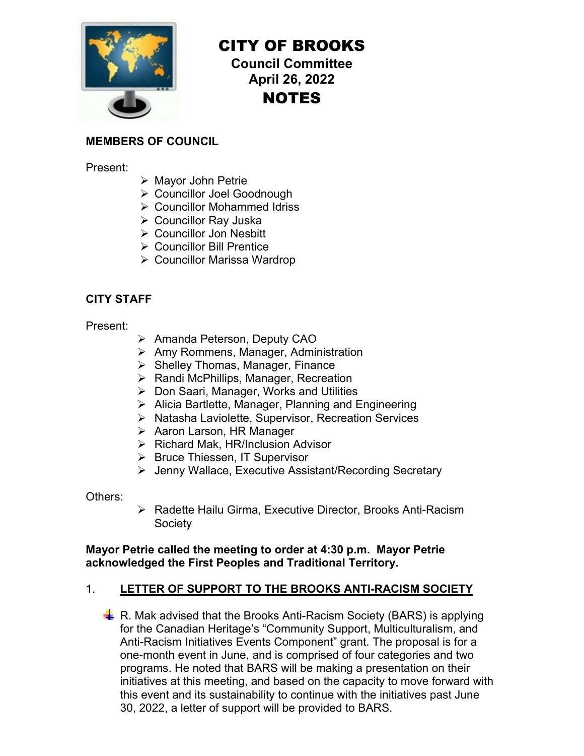

# CITY OF BROOKS

**Council Committee April 26, 2022 NOTES** 

### **MEMBERS OF COUNCIL**

Present:

- Mayor John Petrie
- Councillor Joel Goodnough
- Councillor Mohammed Idriss
- Councillor Ray Juska
- Councillor Jon Nesbitt
- **▶ Councillor Bill Prentice**
- Councillor Marissa Wardrop

### **CITY STAFF**

Present:

- ▶ Amanda Peterson, Deputy CAO
- Amy Rommens, Manager, Administration
- $\triangleright$  Shelley Thomas, Manager, Finance
- $\triangleright$  Randi McPhillips, Manager, Recreation
- Don Saari, Manager, Works and Utilities
- $\triangleright$  Alicia Bartlette, Manager, Planning and Engineering
- ▶ Natasha Laviolette, Supervisor, Recreation Services
- **EXAA** Aaron Larson, HR Manager
- $\triangleright$  Richard Mak, HR/Inclusion Advisor
- ▶ Bruce Thiessen, IT Supervisor
- Jenny Wallace, Executive Assistant/Recording Secretary

Others:

▶ Radette Hailu Girma, Executive Director, Brooks Anti-Racism **Society** 

### **Mayor Petrie called the meeting to order at 4:30 p.m. Mayor Petrie acknowledged the First Peoples and Traditional Territory.**

## 1. **LETTER OF SUPPORT TO THE BROOKS ANTI-RACISM SOCIETY**

 $\frac{1}{2}$  R. Mak advised that the Brooks Anti-Racism Society (BARS) is applying for the Canadian Heritage's "Community Support, Multiculturalism, and Anti-Racism Initiatives Events Component" grant. The proposal is for a one-month event in June, and is comprised of four categories and two programs. He noted that BARS will be making a presentation on their initiatives at this meeting, and based on the capacity to move forward with this event and its sustainability to continue with the initiatives past June 30, 2022, a letter of support will be provided to BARS.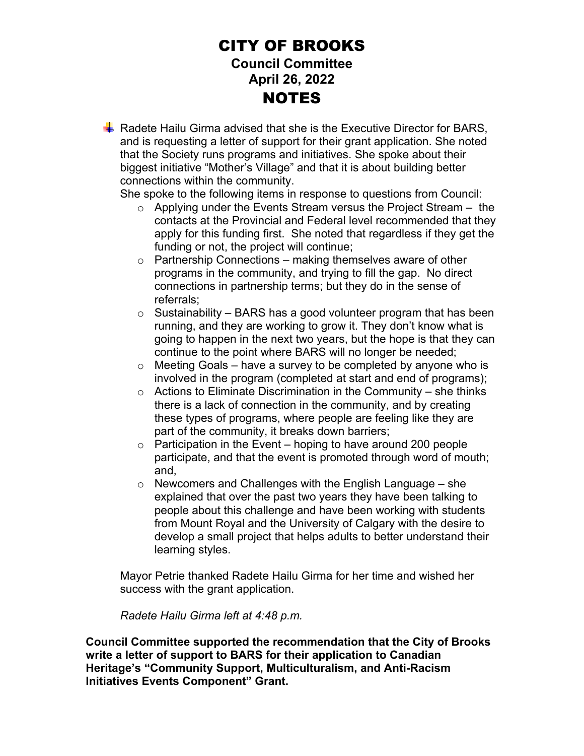## CITY OF BROOKS **Council Committee April 26, 2022 NOTES**

Radete Hailu Girma advised that she is the Executive Director for BARS, and is requesting a letter of support for their grant application. She noted that the Society runs programs and initiatives. She spoke about their biggest initiative "Mother's Village" and that it is about building better connections within the community.

She spoke to the following items in response to questions from Council:

- $\circ$  Applying under the Events Stream versus the Project Stream  $-$  the contacts at the Provincial and Federal level recommended that they apply for this funding first. She noted that regardless if they get the funding or not, the project will continue;
- $\circ$  Partnership Connections making themselves aware of other programs in the community, and trying to fill the gap. No direct connections in partnership terms; but they do in the sense of referrals;
- $\circ$  Sustainability BARS has a good volunteer program that has been running, and they are working to grow it. They don't know what is going to happen in the next two years, but the hope is that they can continue to the point where BARS will no longer be needed;
- $\circ$  Meeting Goals have a survey to be completed by anyone who is involved in the program (completed at start and end of programs);
- $\circ$  Actions to Eliminate Discrimination in the Community she thinks there is a lack of connection in the community, and by creating these types of programs, where people are feeling like they are part of the community, it breaks down barriers;
- $\circ$  Participation in the Event hoping to have around 200 people participate, and that the event is promoted through word of mouth; and,
- $\circ$  Newcomers and Challenges with the English Language she explained that over the past two years they have been talking to people about this challenge and have been working with students from Mount Royal and the University of Calgary with the desire to develop a small project that helps adults to better understand their learning styles.

Mayor Petrie thanked Radete Hailu Girma for her time and wished her success with the grant application.

*Radete Hailu Girma left at 4:48 p.m.* 

**Council Committee supported the recommendation that the City of Brooks write a letter of support to BARS for their application to Canadian Heritage's "Community Support, Multiculturalism, and Anti-Racism Initiatives Events Component" Grant.**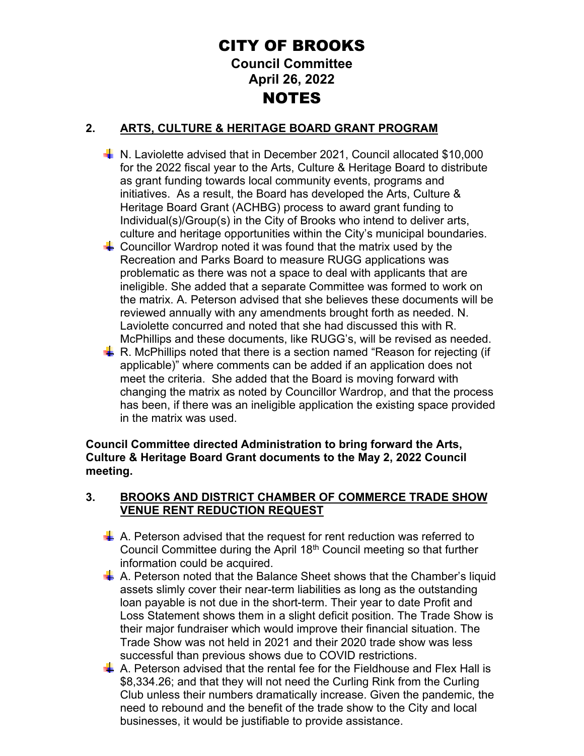# CITY OF BROOKS **Council Committee April 26, 2022 NOTES**

## **2. ARTS, CULTURE & HERITAGE BOARD GRANT PROGRAM**

- N. Laviolette advised that in December 2021, Council allocated \$10,000 for the 2022 fiscal year to the Arts, Culture & Heritage Board to distribute as grant funding towards local community events, programs and initiatives. As a result, the Board has developed the Arts, Culture & Heritage Board Grant (ACHBG) process to award grant funding to Individual(s)/Group(s) in the City of Brooks who intend to deliver arts, culture and heritage opportunities within the City's municipal boundaries.
- $\frac{1}{2}$  Councillor Wardrop noted it was found that the matrix used by the Recreation and Parks Board to measure RUGG applications was problematic as there was not a space to deal with applicants that are ineligible. She added that a separate Committee was formed to work on the matrix. A. Peterson advised that she believes these documents will be reviewed annually with any amendments brought forth as needed. N. Laviolette concurred and noted that she had discussed this with R. McPhillips and these documents, like RUGG's, will be revised as needed.
- R. McPhillips noted that there is a section named "Reason for rejecting (if applicable)" where comments can be added if an application does not meet the criteria. She added that the Board is moving forward with changing the matrix as noted by Councillor Wardrop, and that the process has been, if there was an ineligible application the existing space provided in the matrix was used.

**Council Committee directed Administration to bring forward the Arts, Culture & Heritage Board Grant documents to the May 2, 2022 Council meeting.** 

### **3. BROOKS AND DISTRICT CHAMBER OF COMMERCE TRADE SHOW VENUE RENT REDUCTION REQUEST**

- $\frac{1}{2}$  A. Peterson advised that the request for rent reduction was referred to Council Committee during the April 18<sup>th</sup> Council meeting so that further information could be acquired.
- $\frac{1}{2}$  A. Peterson noted that the Balance Sheet shows that the Chamber's liquid assets slimly cover their near-term liabilities as long as the outstanding loan payable is not due in the short-term. Their year to date Profit and Loss Statement shows them in a slight deficit position. The Trade Show is their major fundraiser which would improve their financial situation. The Trade Show was not held in 2021 and their 2020 trade show was less successful than previous shows due to COVID restrictions.
- $\frac{1}{2}$  A. Peterson advised that the rental fee for the Fieldhouse and Flex Hall is \$8,334.26; and that they will not need the Curling Rink from the Curling Club unless their numbers dramatically increase. Given the pandemic, the need to rebound and the benefit of the trade show to the City and local businesses, it would be justifiable to provide assistance.